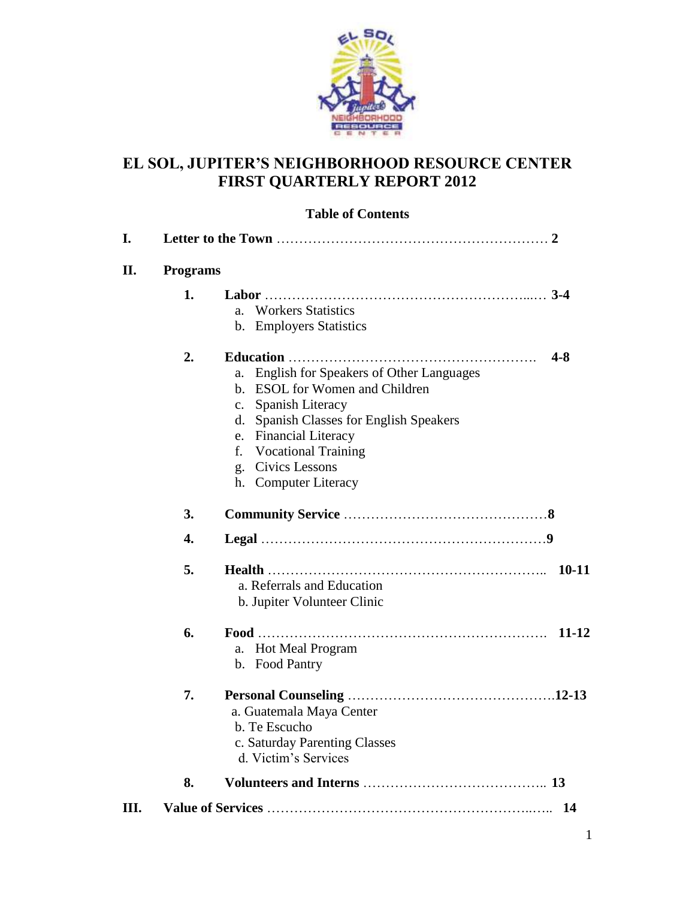

# **EL SOL, JUPITER'S NEIGHBORHOOD RESOURCE CENTER FIRST QUARTERLY REPORT 2012**

# **Table of Contents**

| I.   |                 |                                                                                                                                                                                                                                                                                                                                  |
|------|-----------------|----------------------------------------------------------------------------------------------------------------------------------------------------------------------------------------------------------------------------------------------------------------------------------------------------------------------------------|
| II.  | <b>Programs</b> |                                                                                                                                                                                                                                                                                                                                  |
|      | 1.              | <b>Workers Statistics</b><br>a.<br>b. Employers Statistics                                                                                                                                                                                                                                                                       |
|      | 2.              | $4 - 8$<br><b>English for Speakers of Other Languages</b><br>a.<br><b>ESOL</b> for Women and Children<br>h.<br>Spanish Literacy<br>$\mathbf{c}$ .<br>Spanish Classes for English Speakers<br>d.<br><b>Financial Literacy</b><br>e.<br>f.<br><b>Vocational Training</b><br>Civics Lessons<br>g.<br><b>Computer Literacy</b><br>h. |
|      | 3.              |                                                                                                                                                                                                                                                                                                                                  |
|      | 4.              |                                                                                                                                                                                                                                                                                                                                  |
|      | 5.              | $10 - 11$<br>a. Referrals and Education<br>b. Jupiter Volunteer Clinic                                                                                                                                                                                                                                                           |
|      | 6.              | $11 - 12$<br><b>Hot Meal Program</b><br>a.<br>b. Food Pantry                                                                                                                                                                                                                                                                     |
|      | 7.              | a. Guatemala Maya Center<br>b. Te Escucho<br>c. Saturday Parenting Classes<br>d. Victim's Services                                                                                                                                                                                                                               |
|      | 8.              |                                                                                                                                                                                                                                                                                                                                  |
| III. |                 |                                                                                                                                                                                                                                                                                                                                  |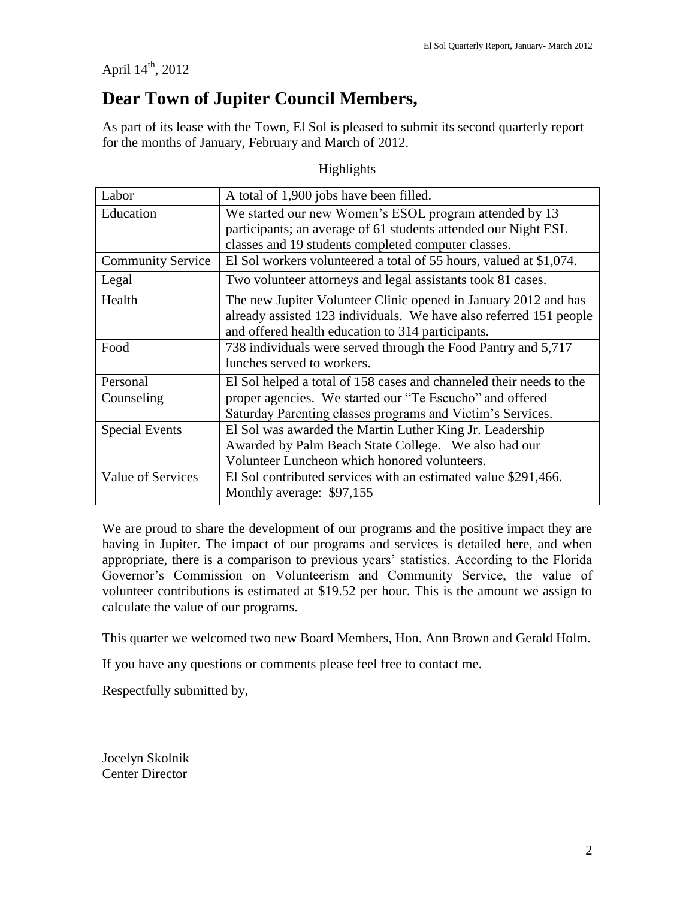April  $14^{th}$ , 2012

# **Dear Town of Jupiter Council Members,**

As part of its lease with the Town, El Sol is pleased to submit its second quarterly report for the months of January, February and March of 2012.

| Labor                    | A total of 1,900 jobs have been filled.                             |
|--------------------------|---------------------------------------------------------------------|
| Education                | We started our new Women's ESOL program attended by 13              |
|                          | participants; an average of 61 students attended our Night ESL      |
|                          | classes and 19 students completed computer classes.                 |
| <b>Community Service</b> | El Sol workers volunteered a total of 55 hours, valued at \$1,074.  |
| Legal                    | Two volunteer attorneys and legal assistants took 81 cases.         |
| Health                   | The new Jupiter Volunteer Clinic opened in January 2012 and has     |
|                          | already assisted 123 individuals. We have also referred 151 people  |
|                          | and offered health education to 314 participants.                   |
| Food                     | 738 individuals were served through the Food Pantry and 5,717       |
|                          | lunches served to workers.                                          |
| Personal                 | El Sol helped a total of 158 cases and channeled their needs to the |
| Counseling               | proper agencies. We started our "Te Escucho" and offered            |
|                          | Saturday Parenting classes programs and Victim's Services.          |
| <b>Special Events</b>    | El Sol was awarded the Martin Luther King Jr. Leadership            |
|                          | Awarded by Palm Beach State College. We also had our                |
|                          | Volunteer Luncheon which honored volunteers.                        |
| Value of Services        | El Sol contributed services with an estimated value \$291,466.      |
|                          | Monthly average: \$97,155                                           |

Highlights

We are proud to share the development of our programs and the positive impact they are having in Jupiter. The impact of our programs and services is detailed here, and when appropriate, there is a comparison to previous years' statistics. According to the Florida Governor's Commission on Volunteerism and Community Service, the value of volunteer contributions is estimated at \$19.52 per hour. This is the amount we assign to calculate the value of our programs.

This quarter we welcomed two new Board Members, Hon. Ann Brown and Gerald Holm.

If you have any questions or comments please feel free to contact me.

Respectfully submitted by,

Jocelyn Skolnik Center Director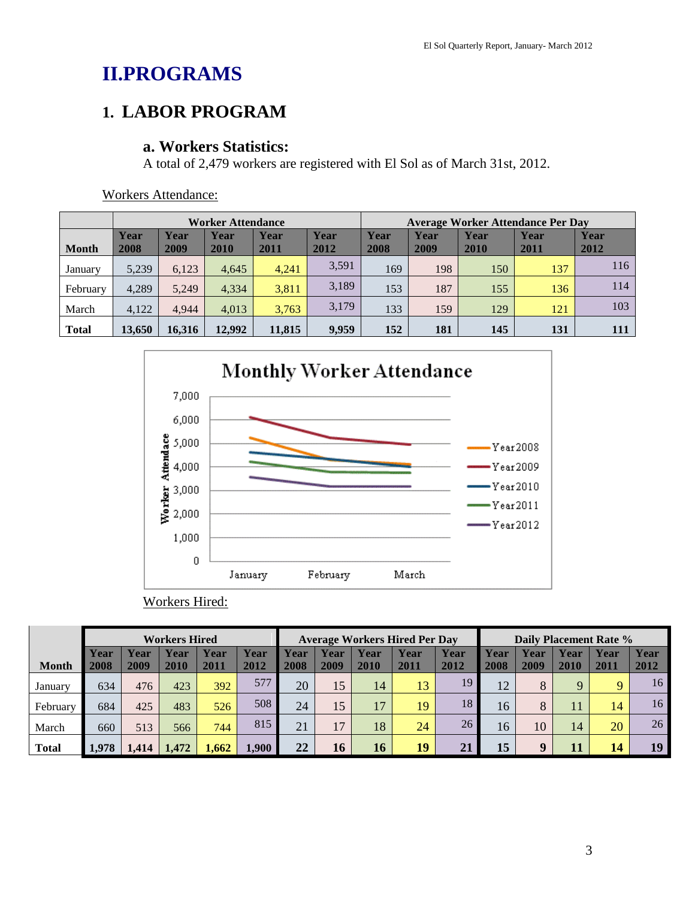# **II.PROGRAMS**

# **1. LABOR PROGRAM**

### **a. Workers Statistics:**

A total of 2,479 workers are registered with El Sol as of March 31st, 2012.

|              |              |              | <b>Worker Attendance</b> |              |              | <b>Average Worker Attendance Per Day</b> |              |              |              |              |
|--------------|--------------|--------------|--------------------------|--------------|--------------|------------------------------------------|--------------|--------------|--------------|--------------|
| <b>Month</b> | Year<br>2008 | Year<br>2009 | Year<br>2010             | Year<br>2011 | Year<br>2012 | Year<br>2008                             | Year<br>2009 | Year<br>2010 | Year<br>2011 | Year<br>2012 |
| January      | 5,239        | 6.123        | 4.645                    | 4.241        | 3,591        | 169                                      | 198          | 150          | 137          | 116          |
| February     | 4,289        | 5.249        | 4,334                    | 3,811        | 3,189        | 153                                      | 187          | 155          | 136          | 114          |
| March        | 4,122        | 4.944        | 4,013                    | 3,763        | 3,179        | 133                                      | 159          | 129          | 121          | 103          |
| <b>Total</b> | 13.650       | 16.316       | 12.992                   | 11.815       | 9,959        | 152                                      | 181          | 145          | 131          | 111          |

Workers Attendance:



### Workers Hired:

|              | <b>Workers Hired</b> |              |              |              |              | <b>Average Workers Hired Per Day</b> |              |              |              | Daily Placement Rate % |              |              |                     |              |              |
|--------------|----------------------|--------------|--------------|--------------|--------------|--------------------------------------|--------------|--------------|--------------|------------------------|--------------|--------------|---------------------|--------------|--------------|
| <b>Month</b> | Year<br>2008         | Year<br>2009 | Year<br>2010 | Year<br>2011 | Year<br>2012 | Year<br>2008                         | Year<br>2009 | Year<br>2010 | Year<br>2011 | Year<br>2012           | Year<br>2008 | Year<br>2009 | <b>Year</b><br>2010 | Year<br>2011 | Year<br>2012 |
| January      | 634                  | 476          | 423          | 392          | 577          | 20                                   | 15           | 14           | 13           | 19                     | 12           | 8            | $\mathbf Q$         |              | 16           |
| February     | 684                  | 425          | 483          | 526          | 508          | 24                                   | 15           | 17           | 19           | 18                     | 16           | 8            | 11                  | 14           | 16           |
| March        | 660                  | 513          | 566          | 744          | 815          | 21                                   | 17           | 18           | 24           | 26                     | 16           | 10           | 14                  | 20           | 26           |
| <b>Total</b> | 1.978                | .414         | 1.472        | 1.662        | 1.900        | 22                                   | 16           | <b>16</b>    | 19           | 2 <sub>1</sub>         | 15           | 9            | 11                  | 14           | 19           |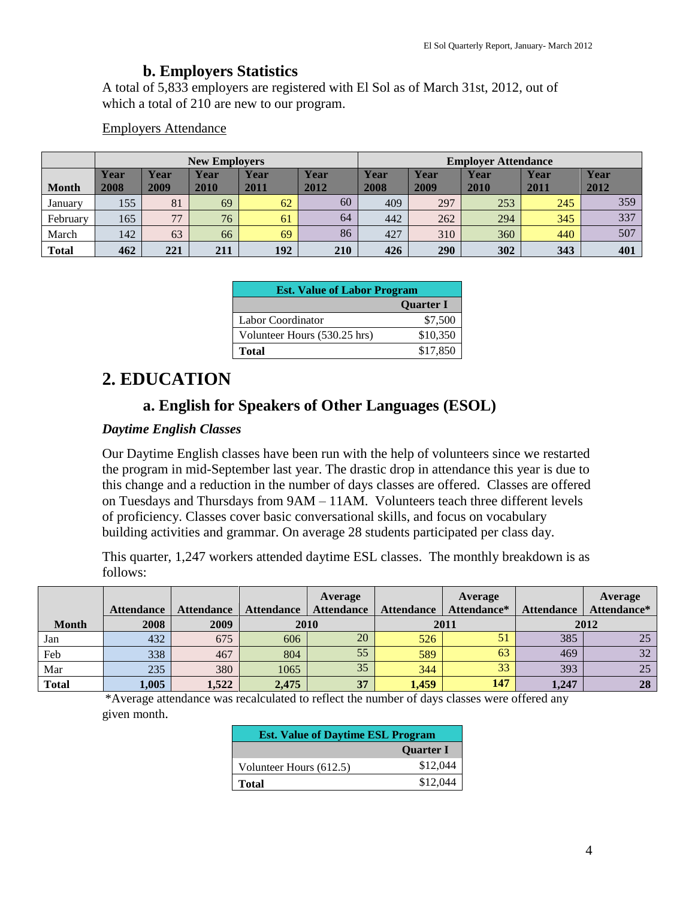#### **b. Employers Statistics**

A total of 5,833 employers are registered with El Sol as of March 31st, 2012, out of which a total of 210 are new to our program.

#### Employers Attendance

| <b>New Employers</b> |              |              |              |              |              | <b>Employer Attendance</b> |              |              |              |              |
|----------------------|--------------|--------------|--------------|--------------|--------------|----------------------------|--------------|--------------|--------------|--------------|
| <b>Month</b>         | Year<br>2008 | Year<br>2009 | Year<br>2010 | Year<br>2011 | Year<br>2012 | Year<br>2008               | Year<br>2009 | Year<br>2010 | Year<br>2011 | Year<br>2012 |
| January              | 155          | 81           | 69           | 62           | 60           | 409                        | 297          | 253          | 245          | 359          |
| February             | 165          | 77           | 76           | 61           | 64           | 442                        | 262          | 294          | 345          | 337          |
| March                | 142          | 63           | 66           | 69           | 86           | 427                        | 310          | 360          | 440          | 507          |
| <b>Total</b>         | 462          | 221          | 211          | 192          | 210          | 426                        | <b>290</b>   | 302          | 343          | 401          |

| <b>Est. Value of Labor Program</b> |                  |  |  |  |
|------------------------------------|------------------|--|--|--|
|                                    | <b>Ouarter I</b> |  |  |  |
| Labor Coordinator                  | \$7,500          |  |  |  |
| Volunteer Hours (530.25 hrs)       | \$10,350         |  |  |  |
| Total                              | \$17,850         |  |  |  |

# **2. EDUCATION**

### **a. English for Speakers of Other Languages (ESOL)**

#### *Daytime English Classes*

Our Daytime English classes have been run with the help of volunteers since we restarted the program in mid-September last year. The drastic drop in attendance this year is due to this change and a reduction in the number of days classes are offered. Classes are offered on Tuesdays and Thursdays from 9AM – 11AM. Volunteers teach three different levels of proficiency. Classes cover basic conversational skills, and focus on vocabulary building activities and grammar. On average 28 students participated per class day.

This quarter, 1,247 workers attended daytime ESL classes. The monthly breakdown is as follows:

|              |                   |                   |                   | Average           |                   | Average     |                   | Average     |
|--------------|-------------------|-------------------|-------------------|-------------------|-------------------|-------------|-------------------|-------------|
|              | <b>Attendance</b> | <b>Attendance</b> | <b>Attendance</b> | <b>Attendance</b> | <b>Attendance</b> | Attendance* | <b>Attendance</b> | Attendance* |
| <b>Month</b> | 2008              | 2009              | 2010              |                   | 2011              |             | 2012              |             |
| Jan          | 432               | 675               | 606               | 20                | 526               | 51          | 385               | 25          |
| Feb          | 338               | 467               | 804               | 55                | 589               | 63          | 469               | 32          |
| Mar          | 235               | 380               | 1065              | 35                | 344               | 33          | 393               | 25          |
| <b>Total</b> | 1,005             | 1,522             | 2,475             | 37                | 1,459             | 147         | 1,247             | 28          |

\*Average attendance was recalculated to reflect the number of days classes were offered any given month.

| <b>Est. Value of Daytime ESL Program</b> |                  |  |  |  |
|------------------------------------------|------------------|--|--|--|
|                                          | <b>Quarter I</b> |  |  |  |
| Volunteer Hours (612.5)                  | \$12,044         |  |  |  |
| Total                                    | \$12,044         |  |  |  |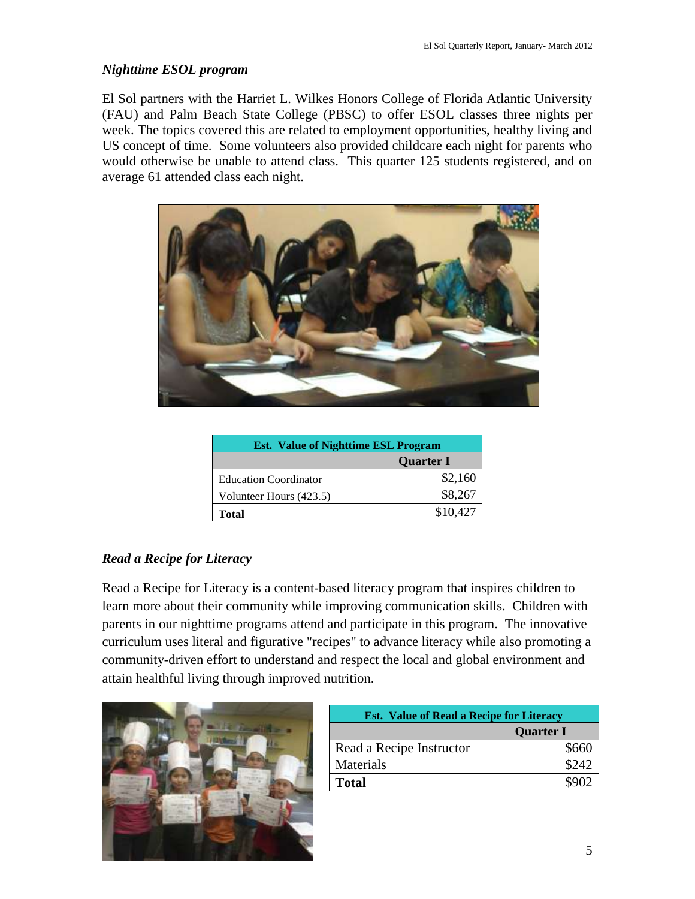#### *Nighttime ESOL program*

El Sol partners with the Harriet L. Wilkes Honors College of Florida Atlantic University (FAU) and Palm Beach State College (PBSC) to offer ESOL classes three nights per week. The topics covered this are related to employment opportunities, healthy living and US concept of time. Some volunteers also provided childcare each night for parents who would otherwise be unable to attend class. This quarter 125 students registered, and on average 61 attended class each night.



| <b>Est.</b> Value of Nighttime <b>ESL</b> Program |                  |  |  |  |
|---------------------------------------------------|------------------|--|--|--|
|                                                   | <b>Quarter I</b> |  |  |  |
| <b>Education Coordinator</b>                      | \$2,160          |  |  |  |
| Volunteer Hours (423.5)                           | \$8,267          |  |  |  |
| Total                                             | \$10,427         |  |  |  |

#### *Read a Recipe for Literacy*

Read a Recipe for Literacy is a content-based literacy program that inspires children to learn more about their community while improving communication skills. Children with parents in our nighttime programs attend and participate in this program. The innovative curriculum uses literal and figurative "recipes" to advance literacy while also promoting a community-driven effort to understand and respect the local and global environment and attain healthful living through improved nutrition.



| <b>Est.</b> Value of Read a Recipe for Literacy |                  |  |  |  |  |  |
|-------------------------------------------------|------------------|--|--|--|--|--|
|                                                 | <b>Quarter I</b> |  |  |  |  |  |
| Read a Recipe Instructor                        | \$660            |  |  |  |  |  |
| Materials                                       | \$242            |  |  |  |  |  |
| <b>Total</b>                                    | \$902            |  |  |  |  |  |
|                                                 |                  |  |  |  |  |  |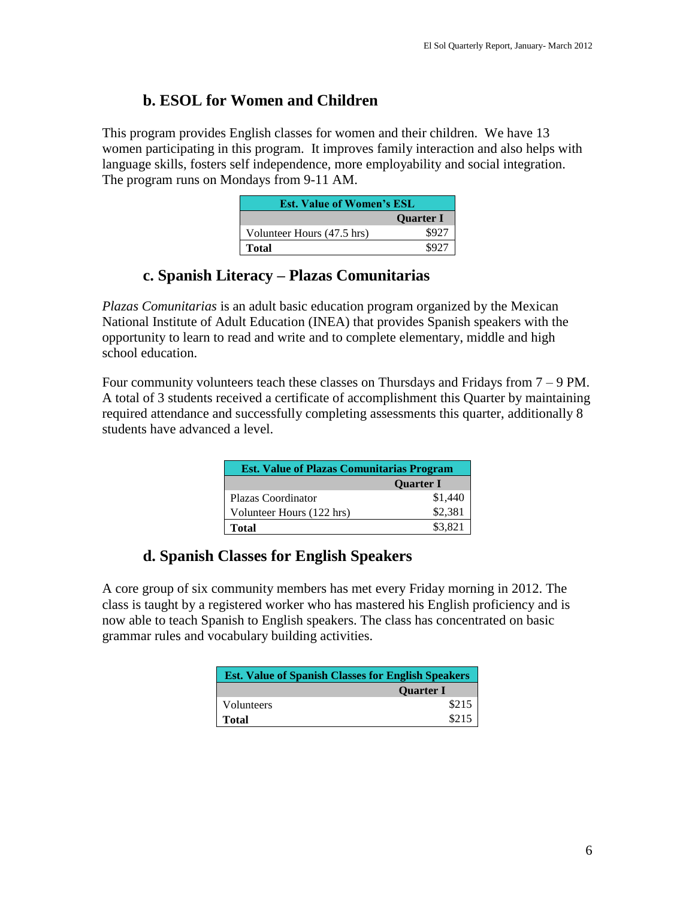## **b. ESOL for Women and Children**

This program provides English classes for women and their children. We have 13 women participating in this program. It improves family interaction and also helps with language skills, fosters self independence, more employability and social integration. The program runs on Mondays from 9-11 AM.

| <b>Est. Value of Women's ESL</b> |                  |  |  |  |
|----------------------------------|------------------|--|--|--|
|                                  | <b>Quarter I</b> |  |  |  |
| Volunteer Hours (47.5 hrs)       | \$927            |  |  |  |
| Total                            | \$927            |  |  |  |

### **c. Spanish Literacy – Plazas Comunitarias**

*Plazas Comunitarias* is an adult basic education program organized by the Mexican National Institute of Adult Education (INEA) that provides Spanish speakers with the opportunity to learn to read and write and to complete elementary, middle and high school education.

Four community volunteers teach these classes on Thursdays and Fridays from  $7 - 9$  PM. A total of 3 students received a certificate of accomplishment this Quarter by maintaining required attendance and successfully completing assessments this quarter, additionally 8 students have advanced a level.

| <b>Est. Value of Plazas Comunitarias Program</b> |                  |  |  |  |  |
|--------------------------------------------------|------------------|--|--|--|--|
|                                                  | <b>Ouarter I</b> |  |  |  |  |
| Plazas Coordinator                               | \$1,440          |  |  |  |  |
| Volunteer Hours (122 hrs)                        | \$2,381          |  |  |  |  |
| Total                                            | \$3,821          |  |  |  |  |

## **d. Spanish Classes for English Speakers**

A core group of six community members has met every Friday morning in 2012. The class is taught by a registered worker who has mastered his English proficiency and is now able to teach Spanish to English speakers. The class has concentrated on basic grammar rules and vocabulary building activities.

| <b>Est. Value of Spanish Classes for English Speakers</b> |                  |  |
|-----------------------------------------------------------|------------------|--|
|                                                           | <b>Ouarter I</b> |  |
| Volunteers                                                | \$215            |  |
| <b>Total</b>                                              | \$215            |  |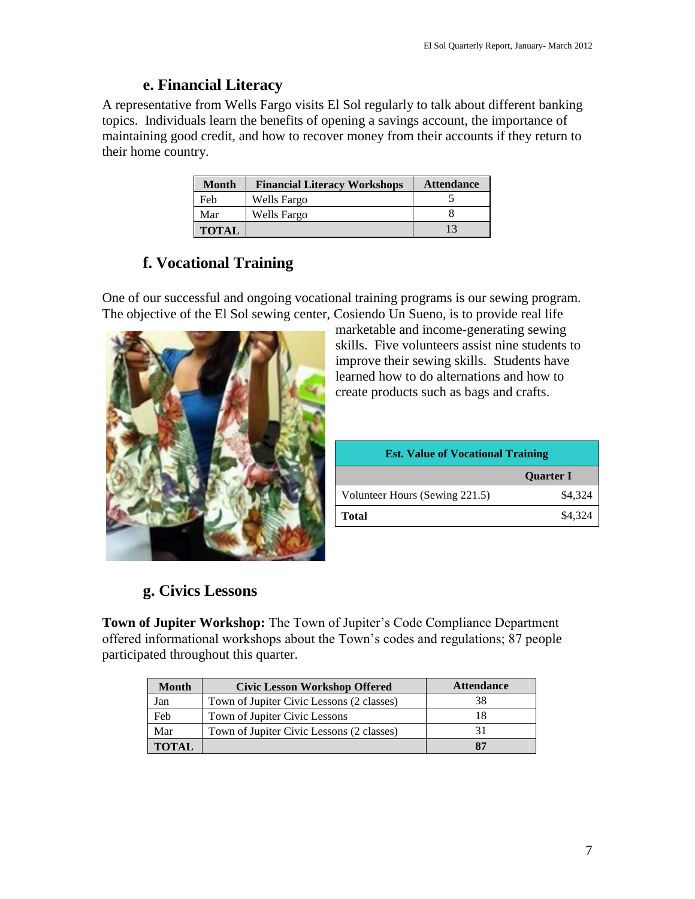### **e. Financial Literacy**

A representative from Wells Fargo visits El Sol regularly to talk about different banking topics. Individuals learn the benefits of opening a savings account, the importance of maintaining good credit, and how to recover money from their accounts if they return to their home country.

| <b>Month</b> | <b>Financial Literacy Workshops</b> | <b>Attendance</b> |
|--------------|-------------------------------------|-------------------|
| Feb          | Wells Fargo                         |                   |
| Mar          | Wells Fargo                         |                   |
| <b>TOTAL</b> |                                     |                   |

# **f. Vocational Training**

One of our successful and ongoing vocational training programs is our sewing program. The objective of the El Sol sewing center, Cosiendo Un Sueno, is to provide real life



marketable and income-generating sewing skills. Five volunteers assist nine students to improve their sewing skills. Students have learned how to do alternations and how to create products such as bags and crafts.

| <b>Est. Value of Vocational Training</b> |                  |  |
|------------------------------------------|------------------|--|
|                                          | <b>Quarter I</b> |  |
| Volunteer Hours (Sewing 221.5)           | \$4,324          |  |
| <b>Total</b>                             | \$4,324          |  |

# **g. Civics Lessons**

**Town of Jupiter Workshop:** The Town of Jupiter's Code Compliance Department offered informational workshops about the Town's codes and regulations; 87 people participated throughout this quarter.

| <b>Month</b> | <b>Civic Lesson Workshop Offered</b>      | <b>Attendance</b> |
|--------------|-------------------------------------------|-------------------|
| Jan          | Town of Jupiter Civic Lessons (2 classes) | 38                |
| Feb          | Town of Jupiter Civic Lessons             |                   |
| Mar          | Town of Jupiter Civic Lessons (2 classes) |                   |
| <b>TOTAL</b> |                                           | 87                |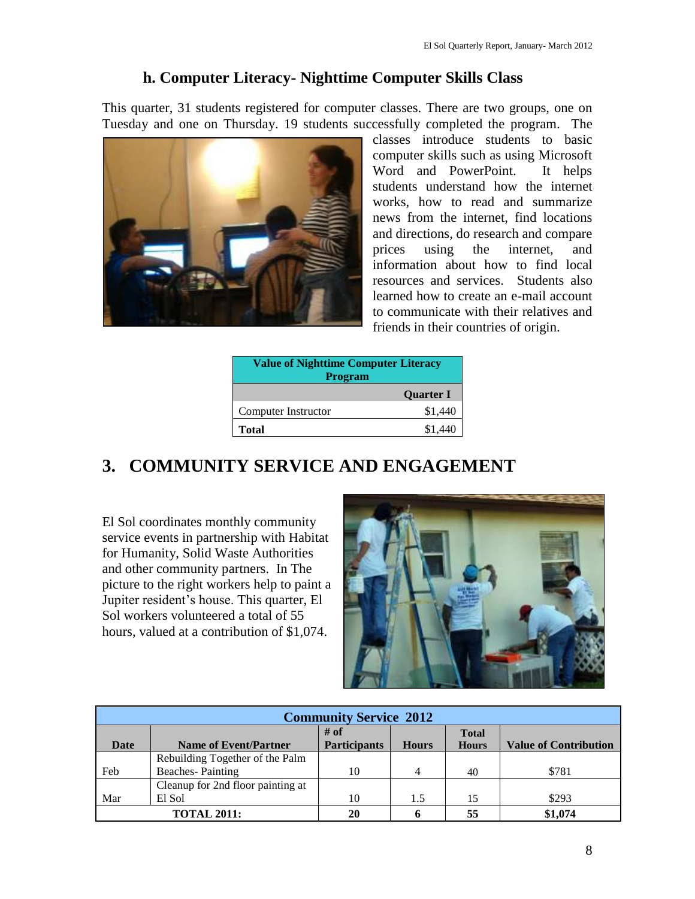## **h. Computer Literacy- Nighttime Computer Skills Class**

This quarter, 31 students registered for computer classes. There are two groups, one on Tuesday and one on Thursday. 19 students successfully completed the program. The



classes introduce students to basic computer skills such as using Microsoft Word and PowerPoint. It helps students understand how the internet works, how to read and summarize news from the internet, find locations and directions, do research and compare prices using the internet, and information about how to find local resources and services. Students also learned how to create an e-mail account to communicate with their relatives and friends in their countries of origin.

| <b>Value of Nighttime Computer Literacy</b><br><b>Program</b> |                  |  |
|---------------------------------------------------------------|------------------|--|
|                                                               | <b>Ouarter I</b> |  |
| Computer Instructor                                           | \$1,440          |  |
| Total                                                         | \$1.440          |  |

# **3. COMMUNITY SERVICE AND ENGAGEMENT**

El Sol coordinates monthly community service events in partnership with Habitat for Humanity, Solid Waste Authorities and other community partners. In The picture to the right workers help to paint a Jupiter resident's house. This quarter, El Sol workers volunteered a total of 55 hours, valued at a contribution of \$1,074.



| <b>Community Service 2012</b> |                                   |                               |              |                              |                              |
|-------------------------------|-----------------------------------|-------------------------------|--------------|------------------------------|------------------------------|
| Date                          | <b>Name of Event/Partner</b>      | $#$ of<br><b>Participants</b> | <b>Hours</b> | <b>Total</b><br><b>Hours</b> | <b>Value of Contribution</b> |
|                               |                                   |                               |              |                              |                              |
|                               | Rebuilding Together of the Palm   |                               |              |                              |                              |
| Feb                           | <b>Beaches-Painting</b>           | 10                            | 4            | 40                           | \$781                        |
|                               | Cleanup for 2nd floor painting at |                               |              |                              |                              |
| Mar                           | El Sol                            | 10                            | 1.5          | 15                           | \$293                        |
|                               | <b>TOTAL 2011:</b>                | 20                            | h            | 55                           | \$1,074                      |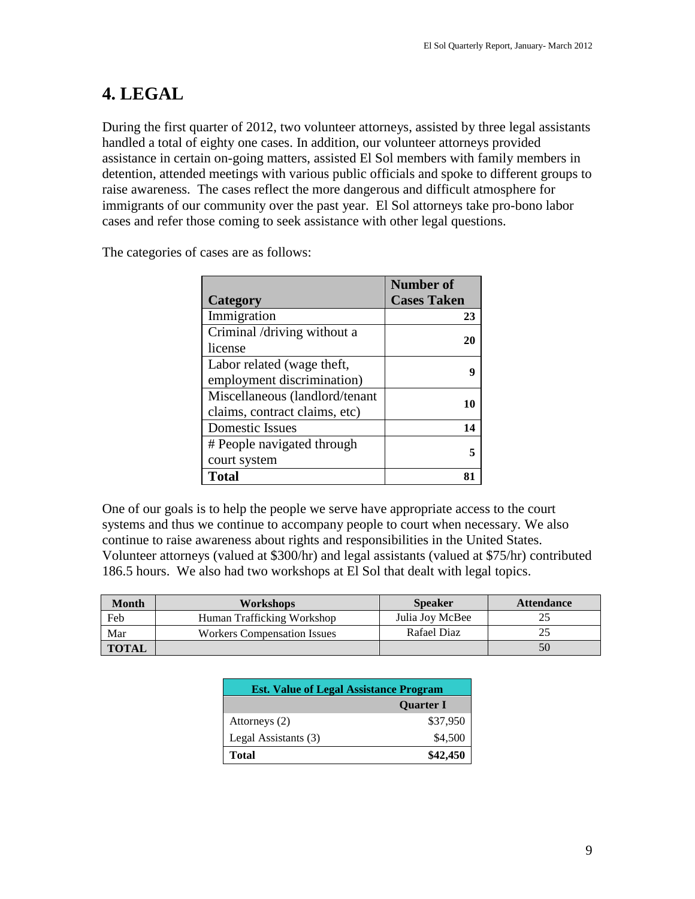# **4. LEGAL**

During the first quarter of 2012, two volunteer attorneys, assisted by three legal assistants handled a total of eighty one cases. In addition, our volunteer attorneys provided assistance in certain on-going matters, assisted El Sol members with family members in detention, attended meetings with various public officials and spoke to different groups to raise awareness. The cases reflect the more dangerous and difficult atmosphere for immigrants of our community over the past year. El Sol attorneys take pro-bono labor cases and refer those coming to seek assistance with other legal questions.

|                                | <b>Number</b> of   |
|--------------------------------|--------------------|
| <b>Category</b>                | <b>Cases Taken</b> |
| Immigration                    | 23                 |
| Criminal /driving without a    | 20                 |
| license                        |                    |
| Labor related (wage theft,     |                    |
| employment discrimination)     |                    |
| Miscellaneous (landlord/tenant | 10                 |
| claims, contract claims, etc)  |                    |
| <b>Domestic Issues</b>         | 14                 |
| # People navigated through     |                    |
| court system                   |                    |
| Total                          |                    |

The categories of cases are as follows:

One of our goals is to help the people we serve have appropriate access to the court systems and thus we continue to accompany people to court when necessary. We also continue to raise awareness about rights and responsibilities in the United States. Volunteer attorneys (valued at \$300/hr) and legal assistants (valued at \$75/hr) contributed 186.5 hours. We also had two workshops at El Sol that dealt with legal topics.

| <b>Month</b> | <b>Workshops</b>                   | <b>Speaker</b>  | <b>Attendance</b> |
|--------------|------------------------------------|-----------------|-------------------|
| Feb          | Human Trafficking Workshop         | Julia Joy McBee |                   |
| Mar          | <b>Workers Compensation Issues</b> | Rafael Diaz     | 25                |
| <b>TOTAL</b> |                                    |                 | 50                |

| <b>Est. Value of Legal Assistance Program</b> |          |  |
|-----------------------------------------------|----------|--|
| <b>Ouarter I</b>                              |          |  |
| Attorneys (2)                                 | \$37,950 |  |
| Legal Assistants (3)                          | \$4,500  |  |
| <b>Total</b>                                  | \$42,450 |  |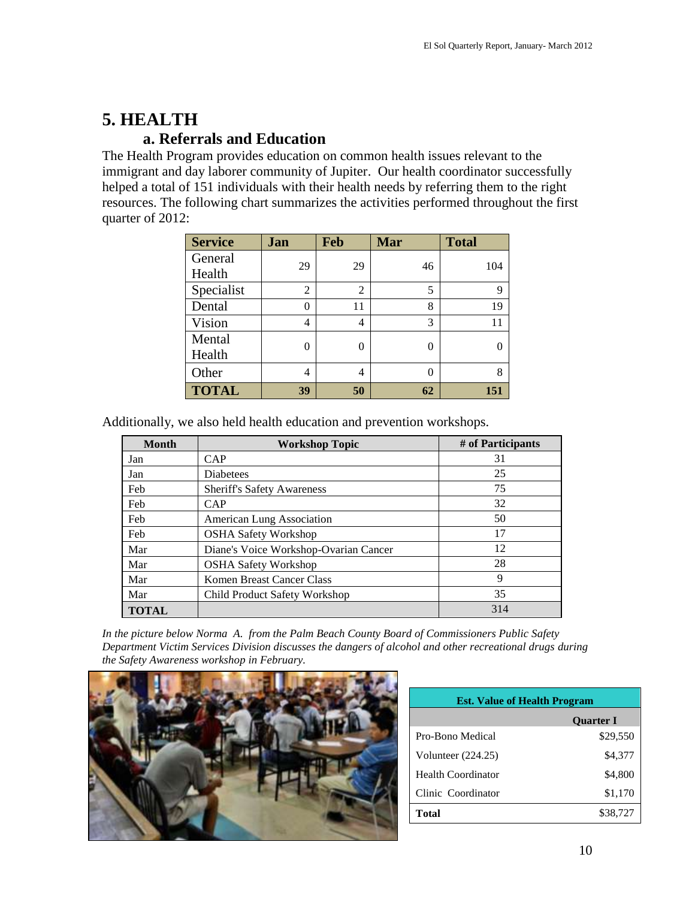# **5. HEALTH**

### **a. Referrals and Education**

The Health Program provides education on common health issues relevant to the immigrant and day laborer community of Jupiter. Our health coordinator successfully helped a total of 151 individuals with their health needs by referring them to the right resources. The following chart summarizes the activities performed throughout the first quarter of 2012:

| <b>Service</b> | Jan | Feb            | Mar      | <b>Total</b> |
|----------------|-----|----------------|----------|--------------|
| General        | 29  | 29             | 46       | 104          |
| Health         |     |                |          |              |
| Specialist     | 2   | $\overline{2}$ | 5        | 9            |
| Dental         | 0   | 11             | 8        | 19           |
| Vision         | 4   | 4              | 3        | 11           |
| Mental         | 0   | 0              | 0        |              |
| Health         |     |                |          |              |
| Other          | 4   | 4              | $\theta$ | 8            |
| <b>TOTAL</b>   | 39  | 50             | 62       | 151          |

Additionally, we also held health education and prevention workshops.

| <b>Month</b> | <b>Workshop Topic</b>                 | # of Participants |
|--------------|---------------------------------------|-------------------|
| Jan          | <b>CAP</b>                            | 31                |
| Jan          | <b>Diabetees</b>                      | 25                |
| Feb          | <b>Sheriff's Safety Awareness</b>     | 75                |
| Feb          | CAP                                   | 32                |
| Feb          | American Lung Association             | 50                |
| Feb          | <b>OSHA Safety Workshop</b>           | 17                |
| Mar          | Diane's Voice Workshop-Ovarian Cancer | 12                |
| Mar          | <b>OSHA Safety Workshop</b>           | 28                |
| Mar          | Komen Breast Cancer Class             | 9                 |
| Mar          | Child Product Safety Workshop         | 35                |
| <b>TOTAL</b> |                                       | 314               |

*In the picture below Norma A. from the Palm Beach County Board of Commissioners Public Safety Department Victim Services Division discusses the dangers of alcohol and other recreational drugs during the Safety Awareness workshop in February.* 



| <b>Est. Value of Health Program</b> |                  |  |  |
|-------------------------------------|------------------|--|--|
|                                     | <b>Ouarter I</b> |  |  |
| Pro-Bono Medical                    | \$29,550         |  |  |
| Volunteer (224.25)                  | \$4,377          |  |  |
| <b>Health Coordinator</b>           | \$4,800          |  |  |
| Clinic Coordinator                  | \$1,170          |  |  |
| Total                               | \$38,727         |  |  |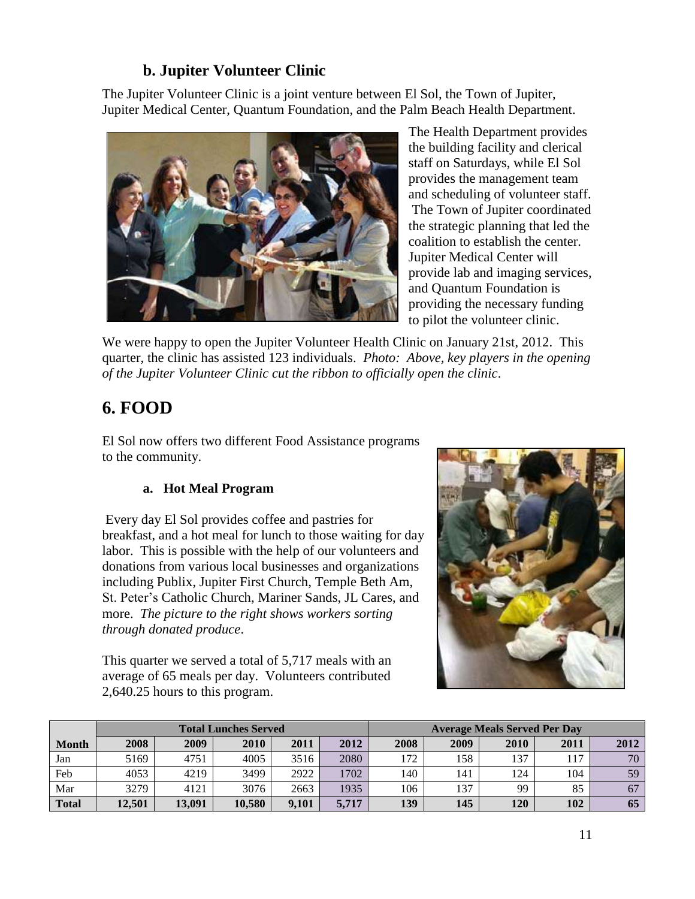# **b. Jupiter Volunteer Clinic**

The Jupiter Volunteer Clinic is a joint venture between El Sol, the Town of Jupiter, Jupiter Medical Center, Quantum Foundation, and the Palm Beach Health Department.



The Health Department provides the building facility and clerical staff on Saturdays, while El Sol provides the management team and scheduling of volunteer staff. The Town of Jupiter coordinated the strategic planning that led the coalition to establish the center. Jupiter Medical Center will provide lab and imaging services, and Quantum Foundation is providing the necessary funding to pilot the volunteer clinic.

We were happy to open the Jupiter Volunteer Health Clinic on January 21st, 2012. This quarter, the clinic has assisted 123 individuals. *Photo: Above, key players in the opening of the Jupiter Volunteer Clinic cut the ribbon to officially open the clinic*.

# **6. FOOD**

El Sol now offers two different Food Assistance programs to the community.

#### **a. Hot Meal Program**

Every day El Sol provides coffee and pastries for breakfast, and a hot meal for lunch to those waiting for day labor. This is possible with the help of our volunteers and donations from various local businesses and organizations including Publix, Jupiter First Church, Temple Beth Am, St. Peter's Catholic Church, Mariner Sands, JL Cares, and more. *The picture to the right shows workers sorting through donated produce*.

This quarter we served a total of 5,717 meals with an average of 65 meals per day. Volunteers contributed 2,640.25 hours to this program.



|              | <b>Total Lunches Served</b> |        |        |       | <b>Average Meals Served Per Day</b> |      |      |             |      |      |
|--------------|-----------------------------|--------|--------|-------|-------------------------------------|------|------|-------------|------|------|
| <b>Month</b> | 2008                        | 2009   | 2010   | 2011  | 2012                                | 2008 | 2009 | <b>2010</b> | 2011 | 2012 |
| Jan          | 5169                        | 4751   | 4005   | 3516  | 2080                                | 172  | 158  | 137         | 117  | 70   |
| Feb          | 4053                        | 4219   | 3499   | 2922  | 1702                                | 140  | 141  | 124         | 104  | 59   |
| Mar          | 3279                        | 4121   | 3076   | 2663  | 1935                                | 106  | 137  | 99          | 85   | 67   |
| <b>Total</b> | 12.501                      | 13.091 | 10.580 | 9.101 | 5,717                               | 139  | 145  | 120         | 102  | 65   |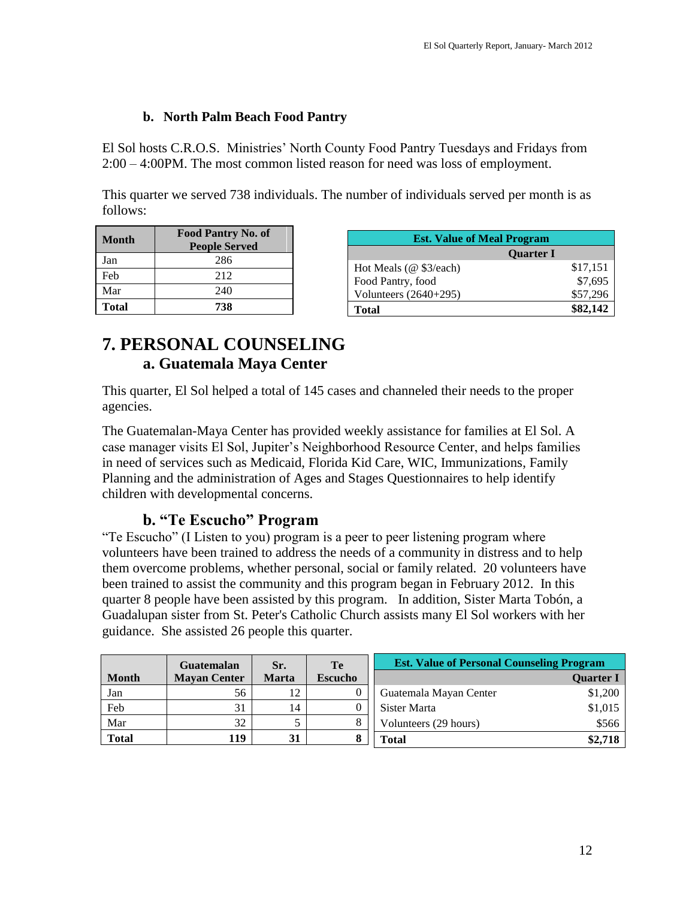#### **b. North Palm Beach Food Pantry**

El Sol hosts C.R.O.S. Ministries' North County Food Pantry Tuesdays and Fridays from 2:00 – 4:00PM. The most common listed reason for need was loss of employment.

This quarter we served 738 individuals. The number of individuals served per month is as follows:

| <b>Month</b> | <b>Food Pantry No. of</b><br><b>People Served</b> |
|--------------|---------------------------------------------------|
| Jan          | 286                                               |
| Feb          | 212                                               |
| Mar          | 240                                               |
| Total        | 738                                               |

| <b>Est. Value of Meal Program</b> |                  |  |  |
|-----------------------------------|------------------|--|--|
|                                   | <b>Quarter I</b> |  |  |
| Hot Meals (@ \$3/each)            | \$17,151         |  |  |
| Food Pantry, food                 | \$7,695          |  |  |
| Volunteers $(2640+295)$           | \$57,296         |  |  |
| <b>Total</b>                      | \$82,142         |  |  |

# **7. PERSONAL COUNSELING a. Guatemala Maya Center**

This quarter, El Sol helped a total of 145 cases and channeled their needs to the proper agencies.

The Guatemalan-Maya Center has provided weekly assistance for families at El Sol. A case manager visits El Sol, Jupiter's Neighborhood Resource Center, and helps families in need of services such as Medicaid, Florida Kid Care, WIC, Immunizations, Family Planning and the administration of Ages and Stages Questionnaires to help identify children with developmental concerns.

### **b. "Te Escucho" Program**

"Te Escucho" (I Listen to you) program is a peer to peer listening program where volunteers have been trained to address the needs of a community in distress and to help them overcome problems, whether personal, social or family related. 20 volunteers have been trained to assist the community and this program began in February 2012. In this quarter 8 people have been assisted by this program. In addition, Sister Marta Tobón, a Guadalupan sister from St. Peter's Catholic Church assists many El Sol workers with her guidance. She assisted 26 people this quarter.

|              | <b>Guatemalan</b>   | Sr.          | Te             | <b>Est. Value of Personal Counseling Program</b> |                  |
|--------------|---------------------|--------------|----------------|--------------------------------------------------|------------------|
| <b>Month</b> | <b>Mayan Center</b> | <b>Marta</b> | <b>Escucho</b> |                                                  | <b>Ouarter I</b> |
| Jan          | 56                  | 1 າ          |                | Guatemala Mayan Center                           | \$1,200          |
| Feb          | 31                  | 14           |                | Sister Marta                                     | \$1,015          |
| Mar          | 32                  |              |                | Volunteers (29 hours)                            | \$566            |
| <b>Total</b> | 19                  | 31           |                | Total                                            | \$2,718          |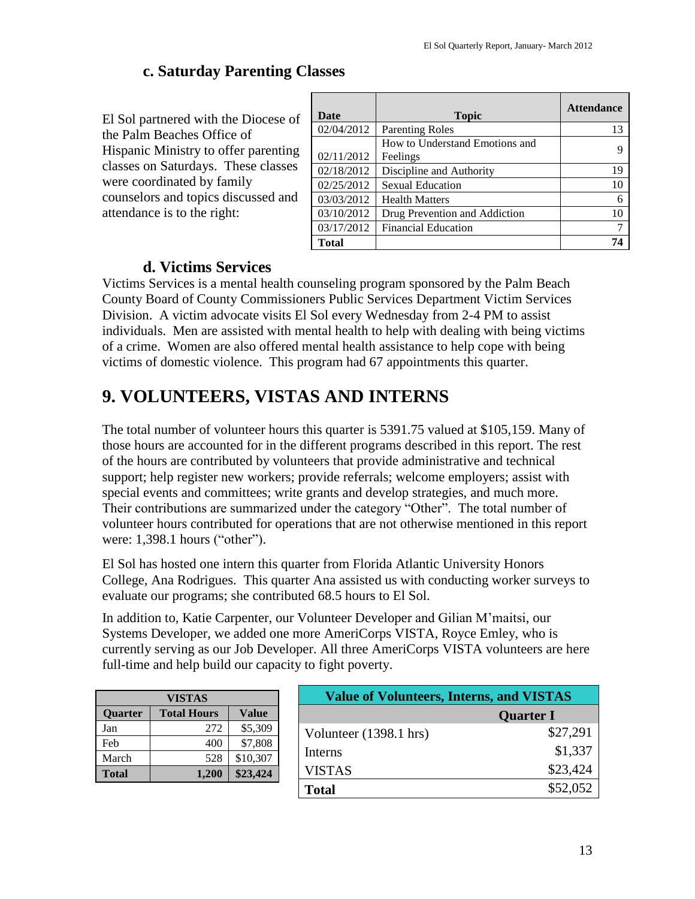## **c. Saturday Parenting Classes**

El Sol partnered with the Diocese of the Palm Beaches Office of Hispanic Ministry to offer parenting classes on Saturdays. These classes were coordinated by family counselors and topics discussed and attendance is to the right:

| Date         | <b>Topic</b>                               | <b>Attendance</b> |
|--------------|--------------------------------------------|-------------------|
| 02/04/2012   | <b>Parenting Roles</b>                     | 13                |
| 02/11/2012   | How to Understand Emotions and<br>Feelings |                   |
| 02/18/2012   | Discipline and Authority                   | 19                |
| 02/25/2012   | <b>Sexual Education</b>                    | 10                |
| 03/03/2012   | <b>Health Matters</b>                      | 6                 |
| 03/10/2012   | Drug Prevention and Addiction              | 10                |
| 03/17/2012   | <b>Financial Education</b>                 | 7                 |
| <b>Total</b> |                                            | 74                |

### **d. Victims Services**

Victims Services is a mental health counseling program sponsored by the Palm Beach County Board of County Commissioners Public Services Department Victim Services Division. A victim advocate visits El Sol every Wednesday from 2-4 PM to assist individuals. Men are assisted with mental health to help with dealing with being victims of a crime. Women are also offered mental health assistance to help cope with being victims of domestic violence. This program had 67 appointments this quarter.

# **9. VOLUNTEERS, VISTAS AND INTERNS**

The total number of volunteer hours this quarter is 5391.75 valued at \$105,159. Many of those hours are accounted for in the different programs described in this report. The rest of the hours are contributed by volunteers that provide administrative and technical support; help register new workers; provide referrals; welcome employers; assist with special events and committees; write grants and develop strategies, and much more. Their contributions are summarized under the category "Other". The total number of volunteer hours contributed for operations that are not otherwise mentioned in this report were: 1,398.1 hours ("other").

El Sol has hosted one intern this quarter from Florida Atlantic University Honors College, Ana Rodrigues. This quarter Ana assisted us with conducting worker surveys to evaluate our programs; she contributed 68.5 hours to El Sol.

In addition to, Katie Carpenter, our Volunteer Developer and Gilian M'maitsi, our Systems Developer, we added one more AmeriCorps VISTA, Royce Emley, who is currently serving as our Job Developer. All three AmeriCorps VISTA volunteers are here full-time and help build our capacity to fight poverty.

| <b>VISTAS</b> |                    |          |  |  |
|---------------|--------------------|----------|--|--|
| Quarter       | <b>Total Hours</b> | Value    |  |  |
| Jan           | 272                | \$5,309  |  |  |
| Feb           | 400                | \$7,808  |  |  |
| March         | 528                | \$10,307 |  |  |
| <b>Total</b>  | 1,200              | \$23,424 |  |  |

| <b>Value of Volunteers, Interns, and VISTAS</b> |                  |  |
|-------------------------------------------------|------------------|--|
|                                                 | <b>Quarter I</b> |  |
| Volunteer (1398.1 hrs)                          | \$27,291         |  |
| <b>Interns</b>                                  | \$1,337          |  |
| <b>VISTAS</b>                                   | \$23,424         |  |
| <b>Total</b>                                    | \$52,052         |  |